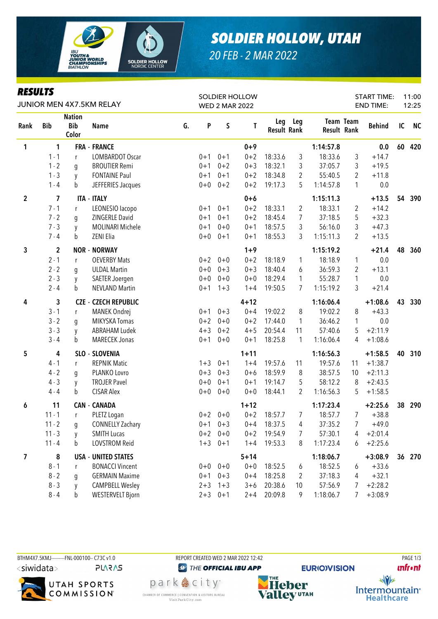

# *SOLDIER HOLLOW, UTAH*

START TIME: END TIME:

11:00 12:25

*20 FEB - 2 MAR 2022*

SOLDIER HOLLOW WED 2 MAR 2022

### Rank Bib **Nation** Bib Color *RESULTS* JUNIOR MEN 4X7.5KM RELAY

| Rank           | <b>Bib</b>              | <b>Bib</b><br>Color | Name                        | G. | P       | S       | T        | Leg<br><b>Result Rank</b> | Leg            | <b>Result Rank</b> | Team Team      | <b>Behind</b> | IC | <b>NC</b> |
|----------------|-------------------------|---------------------|-----------------------------|----|---------|---------|----------|---------------------------|----------------|--------------------|----------------|---------------|----|-----------|
| 1              | 1                       |                     | <b>FRA - FRANCE</b>         |    |         |         | $0 + 9$  |                           |                | 1:14:57.8          |                | 0.0           | 60 | 420       |
|                | $1 - 1$                 | r                   | LOMBARDOT Oscar             |    | $0 + 1$ | $0 + 1$ | $0 + 2$  | 18:33.6                   | 3              | 18:33.6            | 3              | $+14.7$       |    |           |
|                | $1 - 2$                 | g                   | <b>BROUTIER Remi</b>        |    | $0 + 1$ | $0 + 2$ | $0 + 3$  | 18:32.1                   | 3              | 37:05.7            | 3              | $+19.5$       |    |           |
|                | $1 - 3$                 | y                   | <b>FONTAINE Paul</b>        |    | $0 + 1$ | $0 + 1$ | $0 + 2$  | 18:34.8                   | $\overline{2}$ | 55:40.5            | $\overline{2}$ | $+11.8$       |    |           |
|                | $1 - 4$                 | b                   | JEFFERIES Jacques           |    | $0+0$   | $0 + 2$ | $0 + 2$  | 19:17.3                   | 5              | 1:14:57.8          | 1              | 0.0           |    |           |
| $\overline{2}$ | 7                       |                     | <b>ITA - ITALY</b>          |    |         |         | $0+6$    |                           |                | 1:15:11.3          |                | $+13.5$       | 54 | 390       |
|                | $7 - 1$                 | r                   | LEONESIO lacopo             |    | $0 + 1$ | $0 + 1$ | $0 + 2$  | 18:33.1                   | 2              | 18:33.1            | 2              | $+14.2$       |    |           |
|                | $7 - 2$                 | g                   | ZINGERLE David              |    | $0 + 1$ | $0 + 1$ | $0 + 2$  | 18:45.4                   | $\overline{7}$ | 37:18.5            | 5              | $+32.3$       |    |           |
|                | $7 - 3$                 | y                   | MOLINARI Michele            |    | $0 + 1$ | $0 + 0$ | $0 + 1$  | 18:57.5                   | 3              | 56:16.0            | 3              | $+47.3$       |    |           |
|                | $7 - 4$                 | b                   | ZENI Elia                   |    | $0+0$   | $0 + 1$ | $0 + 1$  | 18:55.3                   | 3              | 1:15:11.3          | 2              | $+13.5$       |    |           |
| 3              | $\overline{\mathbf{c}}$ |                     | <b>NOR - NORWAY</b>         |    |         |         | $1 + 9$  |                           |                | 1:15:19.2          |                | $+21.4$       | 48 | 360       |
|                | $2 - 1$                 | r                   | <b>OEVERBY Mats</b>         |    | $0 + 2$ | $0 + 0$ | $0 + 2$  | 18:18.9                   | 1              | 18:18.9            | 1              | 0.0           |    |           |
|                | $2 - 2$                 | g                   | <b>ULDAL Martin</b>         |    | $0 + 0$ | $0 + 3$ | $0 + 3$  | 18:40.4                   | 6              | 36:59.3            | $\overline{2}$ | $+13.1$       |    |           |
|                | $2 - 3$                 | y                   | SAETER Joergen              |    | $0 + 0$ | $0 + 0$ | $0 + 0$  | 18:29.4                   | $\mathbf{1}$   | 55:28.7            | 1              | 0.0           |    |           |
|                | $2 - 4$                 | b                   | <b>NEVLAND Martin</b>       |    | $0 + 1$ | $1 + 3$ | $1 + 4$  | 19:50.5                   | 7              | 1:15:19.2          | 3              | $+21.4$       |    |           |
| 4              | 3                       |                     | <b>CZE - CZECH REPUBLIC</b> |    |         |         | $4 + 12$ |                           |                | 1:16:06.4          |                | $+1:08.6$     | 43 | 330       |
|                | $3 - 1$                 | r                   | MANEK Ondrej                |    | $0 + 1$ | $0 + 3$ | $0 + 4$  | 19:02.2                   | 8              | 19:02.2            | 8              | $+43.3$       |    |           |
|                | $3 - 2$                 | g                   | MIKYSKA Tomas               |    | $0 + 2$ | $0 + 0$ | $0 + 2$  | 17:44.0                   | $\mathbf{1}$   | 36:46.2            | 1              | 0.0           |    |           |
|                | $3 - 3$                 | y                   | <b>ABRAHAM Ludek</b>        |    | $4 + 3$ | $0 + 2$ | $4 + 5$  | 20:54.4                   | 11             | 57:40.6            | 5              | $+2:11.9$     |    |           |
|                | $3 - 4$                 | b                   | <b>MARECEK Jonas</b>        |    | $0 + 1$ | $0 + 0$ | $0 + 1$  | 18:25.8                   | 1              | 1:16:06.4          | 4              | $+1:08.6$     |    |           |
| 5              | 4                       |                     | SLO - SLOVENIA              |    |         |         | $1 + 11$ |                           |                | 1:16:56.3          |                | $+1:58.5$     | 40 | 310       |
|                | $4 - 1$                 | r                   | <b>REPNIK Matic</b>         |    | $1 + 3$ | $0 + 1$ | $1 + 4$  | 19:57.6                   | 11             | 19:57.6            | 11             | $+1:38.7$     |    |           |
|                | $4 - 2$                 | g                   | PLANKO Lovro                |    | $0 + 3$ | $0 + 3$ | $0 + 6$  | 18:59.9                   | 8              | 38:57.5            | 10             | $+2:11.3$     |    |           |
|                | $4 - 3$                 | y                   | <b>TROJER Pavel</b>         |    | $0 + 0$ | $0 + 1$ | $0 + 1$  | 19:14.7                   | 5              | 58:12.2            | 8              | $+2:43.5$     |    |           |
|                | $4 - 4$                 | b                   | <b>CISAR Alex</b>           |    | $0 + 0$ | $0 + 0$ | $0 + 0$  | 18:44.1                   | 2              | 1:16:56.3          | 5              | $+1:58.5$     |    |           |
| 6              | 11                      |                     | <b>CAN - CANADA</b>         |    |         |         | $1 + 12$ |                           |                | 1:17:23.4          |                | $+2:25.6$     | 38 | 290       |
|                | $11 - 1$                | r                   | PLETZ Logan                 |    | $0 + 2$ | $0 + 0$ | $0 + 2$  | 18:57.7                   | 7              | 18:57.7            | 7              | $+38.8$       |    |           |
|                | $11 - 2$                | g                   | <b>CONNELLY Zachary</b>     |    | $0 + 1$ | $0 + 3$ | $0 + 4$  | 18:37.5                   | 4              | 37:35.2            | 7              | $+49.0$       |    |           |
|                | $11 - 3$                | y                   | <b>SMITH Lucas</b>          |    | $0 + 2$ | $0 + 0$ | $0 + 2$  | 19:54.9                   | 7              | 57:30.1            | 4              | $+2:01.4$     |    |           |
|                | $11 - 4$                | b                   | LOVSTROM Reid               |    | $1 + 3$ | $0 + 1$ | $1 + 4$  | 19:53.3                   | 8              | 1:17:23.4          | 6              | $+2:25.6$     |    |           |
| 7              | 8                       |                     | <b>USA - UNITED STATES</b>  |    |         |         | $5 + 14$ |                           |                | 1:18:06.7          |                | $+3:08.9$     |    | 36 270    |
|                | $8 - 1$                 | r                   | <b>BONACCI Vincent</b>      |    | $0+0$   | $0 + 0$ | $0+0$    | 18:52.5                   | 6              | 18:52.5            | 6              | $+33.6$       |    |           |
|                | $8 - 2$                 | g                   | <b>GERMAIN Maxime</b>       |    | $0 + 1$ | $0 + 3$ | $0 + 4$  | 18:25.8                   | 2              | 37:18.3            | 4              | $+32.1$       |    |           |
|                | $8 - 3$                 | y                   | <b>CAMPBELL Wesley</b>      |    | $2 + 3$ | $1 + 3$ | $3 + 6$  | 20:38.6                   | 10             | 57:56.9            | 7              | $+2:28.2$     |    |           |
|                | $8 - 4$                 | b                   | <b>WESTERVELT Bjorn</b>     |    | $2 + 3$ | $0 + 1$ | $2 + 4$  | 20:09.8                   | 9              | 1:18:06.7          | 7              | $+3:08.9$     |    |           |







CHAMBER OF COMMERCE | CONVENTION & VISITORS BUREAU

Visit Park City.com

**@** THE OFFICIAL IBU APP park 急 city"

**EURIO)VISION** 

**unfront** 



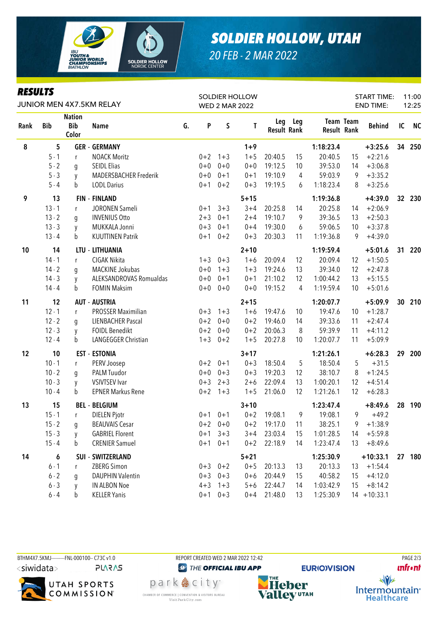

### *SOLDIER HOLLOW, UTAH 20 FEB - 2 MAR 2022*

#### *RESULTS*

| KEYULIY<br>JUNIOR MEN 4X7.5KM RELAY |            |                                      |                           |    | SOLDIER HOLLOW<br><b>WED 2 MAR 2022</b> |             |          |                           |     |                    | <b>START TIME:</b><br><b>END TIME:</b> |                | 11:00<br>12:25 |           |
|-------------------------------------|------------|--------------------------------------|---------------------------|----|-----------------------------------------|-------------|----------|---------------------------|-----|--------------------|----------------------------------------|----------------|----------------|-----------|
| Rank                                | <b>Bib</b> | <b>Nation</b><br><b>Bib</b><br>Color | <b>Name</b>               | G. | P                                       | $\sf S$     | T        | Leg<br><b>Result Rank</b> | Leg | <b>Result Rank</b> | Team Team                              | <b>Behind</b>  | IC             | <b>NC</b> |
| 8                                   | 5          |                                      | <b>GER - GERMANY</b>      |    |                                         |             | $1+9$    |                           |     | 1:18:23.4          |                                        | $+3:25.6$      | 34             | 250       |
|                                     | $5 - 1$    | r                                    | <b>NOACK Moritz</b>       |    | $0 + 2$                                 | $1 + 3$     | $1 + 5$  | 20:40.5                   | 15  | 20:40.5            | 15                                     | $+2:21.6$      |                |           |
|                                     | $5 - 2$    | g                                    | <b>SEIDL Elias</b>        |    | $0 + 0$                                 | $0 + 0$     | $0 + 0$  | 19:12.5                   | 10  | 39:53.0            | 14                                     | $+3:06.8$      |                |           |
|                                     | $5 - 3$    | y                                    | MADERSBACHER Frederik     |    | $0 + 0$                                 | $0 + 1$     | $0 + 1$  | 19:10.9                   | 4   | 59:03.9            | 9                                      | $+3:35.2$      |                |           |
|                                     | $5 - 4$    | b                                    | <b>LODL Darius</b>        |    | $0 + 1$                                 | $0 + 2$     | $0 + 3$  | 19:19.5                   | 6   | 1:18:23.4          | 8                                      | $+3:25.6$      |                |           |
| 9                                   | 13         |                                      | <b>FIN - FINLAND</b>      |    |                                         |             | $5 + 15$ |                           |     | 1:19:36.8          |                                        | $+4:39.0$      |                | 32 230    |
|                                     | $13 - 1$   | $\mathsf{r}$                         | JORONEN Sameli            |    | $0 + 1$                                 | $3 + 3$     | $3 + 4$  | 20:25.8                   | 14  | 20:25.8            | 14                                     | $+2:06.9$      |                |           |
|                                     | $13 - 2$   | g                                    | <b>INVENIUS Otto</b>      |    | $2 + 3$                                 | $0 + 1$     | $2 + 4$  | 19:10.7                   | 9   | 39:36.5            | 13                                     | $+2:50.3$      |                |           |
|                                     | $13 - 3$   | y                                    | MUKKALA Jonni             |    | $0 + 3$                                 | $0 + 1$     | $0 + 4$  | 19:30.0                   | 6   | 59:06.5            | 10                                     | $+3:37.8$      |                |           |
|                                     | $13 - 4$   | b                                    | <b>KUUTTINEN Patrik</b>   |    | $0 + 1$                                 | $0 + 2$     | $0 + 3$  | 20:30.3                   | 11  | 1:19:36.8          | 9                                      | $+4:39.0$      |                |           |
| 10                                  | 14         |                                      | LTU - LITHUANIA           |    |                                         |             | $2 + 10$ |                           |     | 1:19:59.4          |                                        | $+5:01.6$      | 31             | 220       |
|                                     | $14 - 1$   | $\mathsf{r}$                         | CIGAK Nikita              |    | $1 + 3$                                 | $0 + 3$     | $1 + 6$  | 20:09.4                   | 12  | 20:09.4            | 12                                     | $+1:50.5$      |                |           |
|                                     | $14 - 2$   | q                                    | MACKINE Jokubas           |    | $0 + 0$                                 | $1 + 3$     | $1 + 3$  | 19:24.6                   | 13  | 39:34.0            | 12                                     | $+2:47.8$      |                |           |
|                                     | $14 - 3$   | y                                    | ALEKSANDROVAS Romualdas   |    | $0 + 0$                                 | $0 + 1$     | $0 + 1$  | 21:10.2                   | 12  | 1:00:44.2          | 13                                     | $+5:15.5$      |                |           |
|                                     | $14 - 4$   | b                                    | <b>FOMIN Maksim</b>       |    | $0 + 0$                                 | $0 + 0$     | $0 + 0$  | 19:15.2                   | 4   | 1:19:59.4          | 10                                     | $+5:01.6$      |                |           |
| 11                                  | 12         |                                      | <b>AUT - AUSTRIA</b>      |    |                                         |             | $2 + 15$ |                           |     | 1:20:07.7          |                                        | $+5:09.9$      | 30             | 210       |
|                                     | $12 - 1$   | r                                    | <b>PROSSER Maximilian</b> |    |                                         | $0+3$ 1+3   | $1 + 6$  | 19:47.6                   | 10  | 19:47.6            | 10                                     | $+1:28.7$      |                |           |
|                                     | $12 - 2$   | g                                    | <b>LIENBACHER Pascal</b>  |    | $0 + 2$                                 | $0 + 0$     | $0 + 2$  | 19:46.0                   | 14  | 39:33.6            | 11                                     | $+2:47.4$      |                |           |
|                                     | $12 - 3$   | y                                    | <b>FOIDL Benedikt</b>     |    | $0 + 2$                                 | $0 + 0$     | $0 + 2$  | 20:06.3                   | 8   | 59:39.9            | 11                                     | $+4:11.2$      |                |           |
|                                     | $12 - 4$   | b                                    | LANGEGGER Christian       |    | $1 + 3$                                 | $0 + 2$     | $1 + 5$  | 20:27.8                   | 10  | 1:20:07.7          | 11                                     | $+5:09.9$      |                |           |
| 12                                  | 10         |                                      | <b>EST - ESTONIA</b>      |    |                                         |             | $3 + 17$ |                           |     | 1:21:26.1          |                                        | $+6:28.3$      | 29             | 200       |
|                                     | $10 - 1$   | r                                    | PERV Joosep               |    | $0 + 2$                                 | $0 + 1$     | $0 + 3$  | 18:50.4                   | 5   | 18:50.4            | 5                                      | $+31.5$        |                |           |
|                                     | $10 - 2$   | g                                    | PALM Tuudor               |    | $0 + 0$                                 | $0 + 3$     | $0 + 3$  | 19:20.3                   | 12  | 38:10.7            | 8                                      | $+1:24.5$      |                |           |
|                                     | $10 - 3$   | y                                    | <b>VSIVTSEV Ivar</b>      |    | $0 + 3$                                 | $2 + 3$     | $2 + 6$  | 22:09.4                   | 13  | 1:00:20.1          | 12                                     | $+4:51.4$      |                |           |
|                                     | $10 - 4$   | b                                    | <b>EPNER Markus Rene</b>  |    | $0 + 2$                                 | $1 + 3$     | $1 + 5$  | 21:06.0                   | 12  | 1:21:26.1          | 12                                     | $+6:28.3$      |                |           |
| 13                                  | 15         |                                      | <b>BEL - BELGIUM</b>      |    |                                         |             | $3 + 10$ |                           |     | 1:23:47.4          |                                        | $+8:49.6$      | 28             | 190       |
|                                     | $15 - 1$   | r.                                   | <b>DIELEN Pjotr</b>       |    |                                         | $0+1$ $0+1$ | $0 + 2$  | 19:08.1                   | 9   | 19:08.1            | 9                                      | $+49.2$        |                |           |
|                                     | $15 - 2$   | g                                    | <b>BEAUVAIS Cesar</b>     |    |                                         | $0+2$ 0+0   | $0 + 2$  | 19:17.0                   | 11  | 38:25.1            | 9                                      | $+1:38.9$      |                |           |
|                                     | $15 - 3$   | y                                    | <b>GABRIEL Florent</b>    |    | $0 + 1$                                 | $3 + 3$     | $3 + 4$  | 23:03.4                   | 15  | 1:01:28.5          | 14                                     | $+5:59.8$      |                |           |
|                                     | $15 - 4$   | b                                    | <b>CRENIER Samuel</b>     |    | $0 + 1$                                 | $0 + 1$     | $0 + 2$  | 22:18.9                   | 14  | 1:23:47.4          | 13                                     | $+8:49.6$      |                |           |
| 14                                  | 6          |                                      | <b>SUI - SWITZERLAND</b>  |    |                                         |             | $5 + 21$ |                           |     | 1:25:30.9          |                                        | $+10:33.1$     |                | 27 180    |
|                                     | $6 - 1$    | r                                    | ZBERG Simon               |    |                                         | $0+3$ $0+2$ | $0 + 5$  | 20:13.3                   | 13  | 20:13.3            | 13                                     | $+1:54.4$      |                |           |
|                                     | $6 - 2$    | g                                    | <b>DAUPHIN Valentin</b>   |    | $0 + 3$                                 | $0 + 3$     | $0 + 6$  | 20:44.9                   | 15  | 40:58.2            | 15                                     | $+4:12.0$      |                |           |
|                                     | $6 - 3$    | y                                    | IN ALBON Noe              |    | $4 + 3$                                 | $1 + 3$     | $5 + 6$  | 22:44.7                   | 14  | 1:03:42.9          | 15                                     | $+8:14.2$      |                |           |
|                                     | $6 - 4$    | $\mathsf b$                          | <b>KELLER Yanis</b>       |    | $0 + 1$                                 | $0 + 3$     | $0 + 4$  | 21:48.0                   | 13  | 1:25:30.9          |                                        | $14 + 10:33.1$ |                |           |





CHAMBER OF COMMERCE | CONVENTION & VISITORS BUREAU

Visit Park City.com

**<sup>***<sup><i>O</sup>* THE OFFICIAL IBU APP</sup></sup> park 急 city<sup>®</sup>